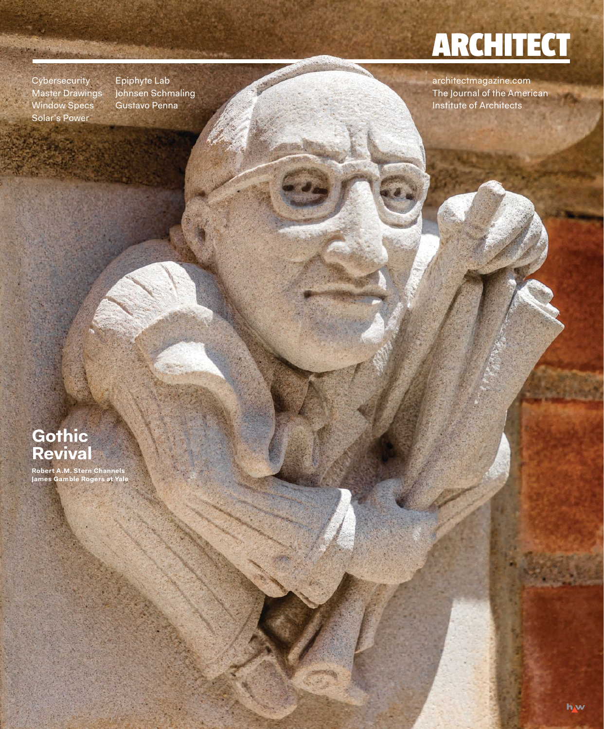## **ARCHITECT**

**Cybersecurity** Master Drawings Window Specs Solar's Power

Epiphyte Lab Johnsen Schmaling Gustavo Penna

architectmagazine.com The Journal of the American Institute of Architects

## **Gothic Revival**

**Robert A.M. Stern Channels James Gamble Rogers at Yale**